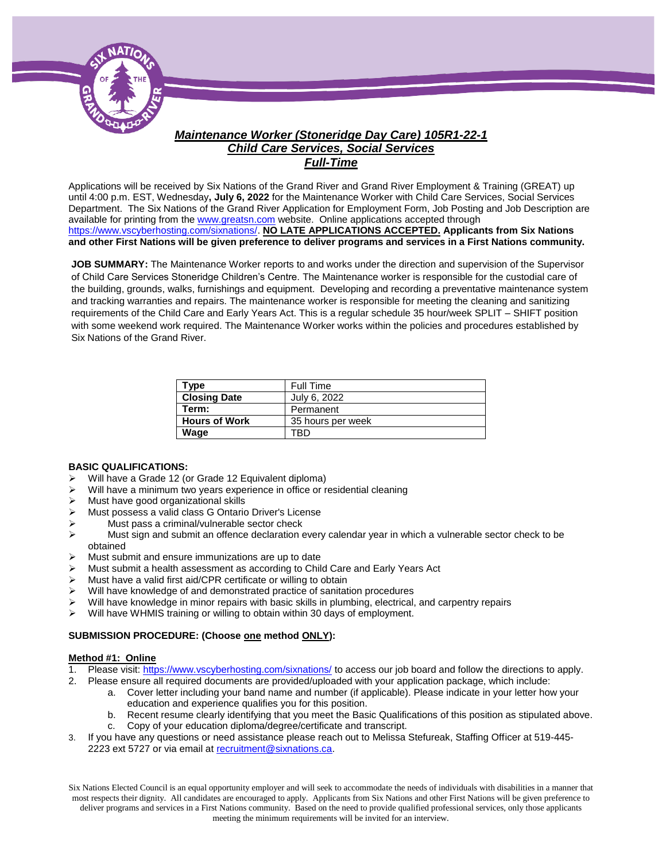

### *Maintenance Worker (Stoneridge Day Care) 105R1-22-1 Child Care Services, Social Services Full-Time*

Applications will be received by Six Nations of the Grand River and Grand River Employment & Training (GREAT) up until 4:00 p.m. EST, Wednesday**, July 6, 2022** for the Maintenance Worker with Child Care Services, Social Services Department. The Six Nations of the Grand River Application for Employment Form, Job Posting and Job Description are available for printing from th[e www.greatsn.com](http://www.greatsn.com/) website. Online applications accepted through [https://www.vscyberhosting.com/sixnations/.](https://www.vscyberhosting.com/sixnations/) **NO LATE APPLICATIONS ACCEPTED. Applicants from Six Nations and other First Nations will be given preference to deliver programs and services in a First Nations community.**

**JOB SUMMARY:** The Maintenance Worker reports to and works under the direction and supervision of the Supervisor of Child Care Services Stoneridge Children's Centre. The Maintenance worker is responsible for the custodial care of the building, grounds, walks, furnishings and equipment. Developing and recording a preventative maintenance system and tracking warranties and repairs. The maintenance worker is responsible for meeting the cleaning and sanitizing requirements of the Child Care and Early Years Act. This is a regular schedule 35 hour/week SPLIT – SHIFT position with some weekend work required. The Maintenance Worker works within the policies and procedures established by Six Nations of the Grand River.

| Type                 | Full Time         |
|----------------------|-------------------|
| <b>Closing Date</b>  | July 6, 2022      |
| Term:                | Permanent         |
| <b>Hours of Work</b> | 35 hours per week |
| Wage                 | FRD               |

#### **BASIC QUALIFICATIONS:**

- Will have a Grade 12 (or Grade 12 Equivalent diploma)
- Will have a minimum two years experience in office or residential cleaning
- $\triangleright$  Must have good organizational skills
- Must possess a valid class G Ontario Driver's License
- > Must pass a criminal/vulnerable sector check
- $\triangleright$  Must sign and submit an offence declaration every calendar year in which a vulnerable sector check to be obtained
- Must submit and ensure immunizations are up to date
- Must submit a health assessment as according to Child Care and Early Years Act
- Must have a valid first aid/CPR certificate or willing to obtain
- $\triangleright$  Will have knowledge of and demonstrated practice of sanitation procedures
- Will have knowledge in minor repairs with basic skills in plumbing, electrical, and carpentry repairs
- $\triangleright$  Will have WHMIS training or willing to obtain within 30 days of employment.

#### **SUBMISSION PROCEDURE: (Choose one method ONLY):**

#### **Method #1: Online**

- 1. Please visit[: https://www.vscyberhosting.com/sixnations/](https://www.vscyberhosting.com/sixnations/) to access our job board and follow the directions to apply.
- 2. Please ensure all required documents are provided/uploaded with your application package, which include:
	- a. Cover letter including your band name and number (if applicable). Please indicate in your letter how your education and experience qualifies you for this position.
	- b. Recent resume clearly identifying that you meet the Basic Qualifications of this position as stipulated above.
	- c. Copy of your education diploma/degree/certificate and transcript.
- 3. If you have any questions or need assistance please reach out to Melissa Stefureak, Staffing Officer at 519-445- 2223 ext 5727 or via email at [recruitment@sixnations.ca.](mailto:recruitment@sixnations.ca)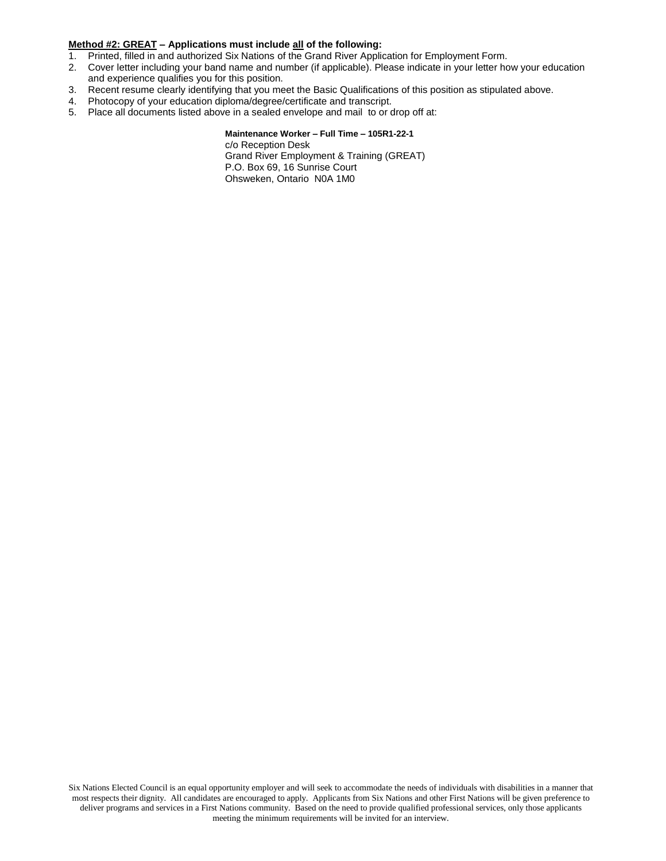#### **Method #2: GREAT – Applications must include all of the following:**

- 1. Printed, filled in and authorized Six Nations of the Grand River Application for Employment Form.
- 2. Cover letter including your band name and number (if applicable). Please indicate in your letter how your education and experience qualifies you for this position.
- 3. Recent resume clearly identifying that you meet the Basic Qualifications of this position as stipulated above.
- 4. Photocopy of your education diploma/degree/certificate and transcript.
- 5. Place all documents listed above in a sealed envelope and mail to or drop off at:

#### **Maintenance Worker – Full Time – 105R1-22-1**

c/o Reception Desk Grand River Employment & Training (GREAT) P.O. Box 69, 16 Sunrise Court Ohsweken, Ontario N0A 1M0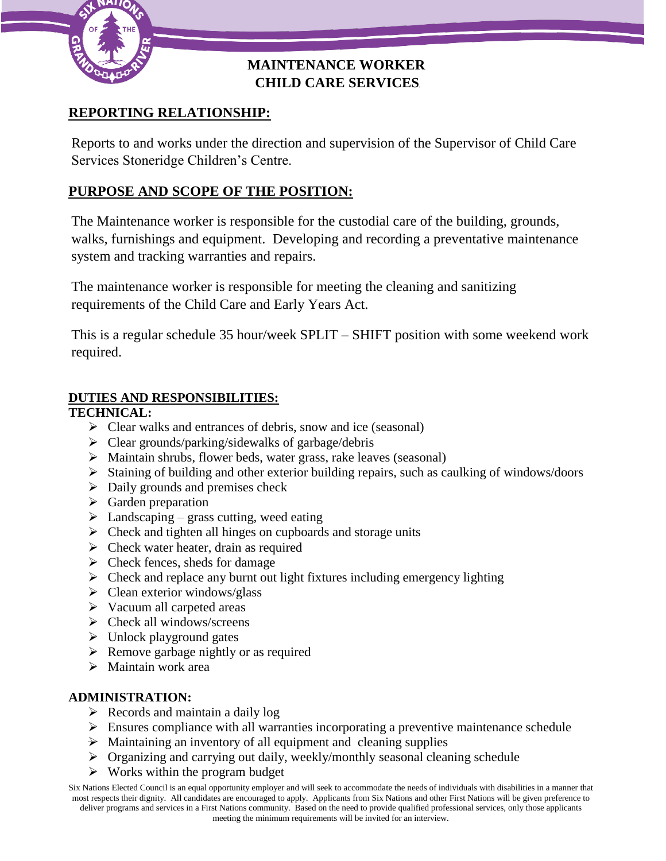

## **MAINTENANCE WORKER CHILD CARE SERVICES**

# **REPORTING RELATIONSHIP:**

Reports to and works under the direction and supervision of the Supervisor of Child Care Services Stoneridge Children's Centre.

# **PURPOSE AND SCOPE OF THE POSITION:**

The Maintenance worker is responsible for the custodial care of the building, grounds, walks, furnishings and equipment. Developing and recording a preventative maintenance system and tracking warranties and repairs.

The maintenance worker is responsible for meeting the cleaning and sanitizing requirements of the Child Care and Early Years Act.

This is a regular schedule 35 hour/week SPLIT – SHIFT position with some weekend work required.

## **DUTIES AND RESPONSIBILITIES:**

## **TECHNICAL:**

- $\triangleright$  Clear walks and entrances of debris, snow and ice (seasonal)
- $\triangleright$  Clear grounds/parking/sidewalks of garbage/debris
- $\triangleright$  Maintain shrubs, flower beds, water grass, rake leaves (seasonal)
- $\triangleright$  Staining of building and other exterior building repairs, such as caulking of windows/doors
- $\triangleright$  Daily grounds and premises check
- $\triangleright$  Garden preparation
- $\triangleright$  Landscaping grass cutting, weed eating
- $\triangleright$  Check and tighten all hinges on cupboards and storage units
- $\triangleright$  Check water heater, drain as required
- $\triangleright$  Check fences, sheds for damage
- $\triangleright$  Check and replace any burnt out light fixtures including emergency lighting
- $\triangleright$  Clean exterior windows/glass
- $\triangleright$  Vacuum all carpeted areas
- $\triangleright$  Check all windows/screens
- $\triangleright$  Unlock playground gates
- $\triangleright$  Remove garbage nightly or as required
- $\triangleright$  Maintain work area

### **ADMINISTRATION:**

- $\triangleright$  Records and maintain a daily log
- $\triangleright$  Ensures compliance with all warranties incorporating a preventive maintenance schedule
- $\rightarrow$  Maintaining an inventory of all equipment and cleaning supplies
- Organizing and carrying out daily, weekly/monthly seasonal cleaning schedule
- $\triangleright$  Works within the program budget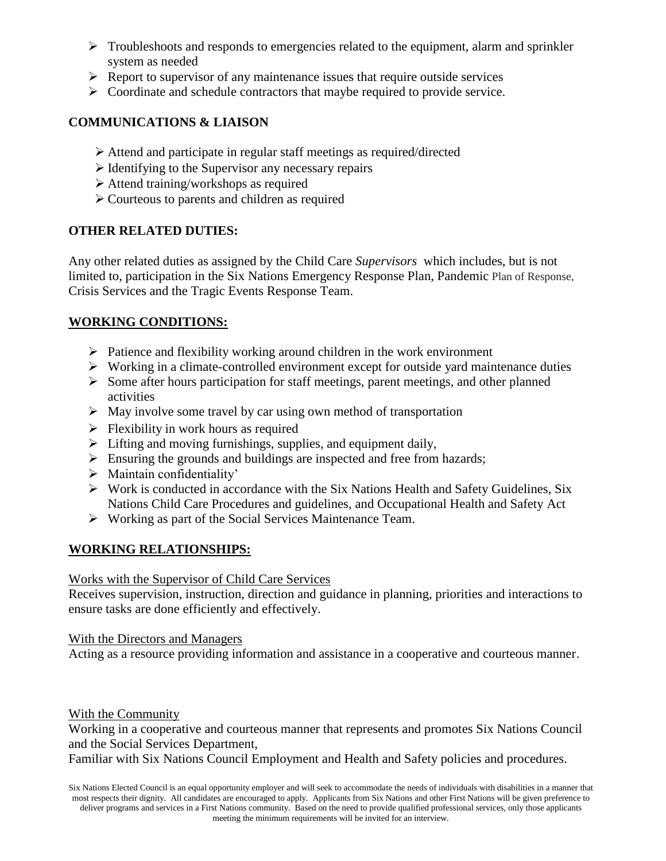- $\triangleright$  Troubleshoots and responds to emergencies related to the equipment, alarm and sprinkler system as needed
- $\triangleright$  Report to supervisor of any maintenance issues that require outside services
- $\triangleright$  Coordinate and schedule contractors that maybe required to provide service.

### **COMMUNICATIONS & LIAISON**

- Attend and participate in regular staff meetings as required/directed
- $\triangleright$  Identifying to the Supervisor any necessary repairs
- Attend training/workshops as required
- Courteous to parents and children as required

### **OTHER RELATED DUTIES:**

Any other related duties as assigned by the Child Care *Supervisors* which includes, but is not limited to, participation in the Six Nations Emergency Response Plan, Pandemic Plan of Response, Crisis Services and the Tragic Events Response Team.

## **WORKING CONDITIONS:**

- $\triangleright$  Patience and flexibility working around children in the work environment
- $\triangleright$  Working in a climate-controlled environment except for outside yard maintenance duties
- $\triangleright$  Some after hours participation for staff meetings, parent meetings, and other planned activities
- $\triangleright$  May involve some travel by car using own method of transportation
- $\triangleright$  Flexibility in work hours as required
- $\triangleright$  Lifting and moving furnishings, supplies, and equipment daily,
- $\triangleright$  Ensuring the grounds and buildings are inspected and free from hazards;
- $\triangleright$  Maintain confidentiality'
- $\triangleright$  Work is conducted in accordance with the Six Nations Health and Safety Guidelines, Six Nations Child Care Procedures and guidelines, and Occupational Health and Safety Act
- $\triangleright$  Working as part of the Social Services Maintenance Team.

## **WORKING RELATIONSHIPS:**

### Works with the Supervisor of Child Care Services

Receives supervision, instruction, direction and guidance in planning, priorities and interactions to ensure tasks are done efficiently and effectively.

### With the Directors and Managers

Acting as a resource providing information and assistance in a cooperative and courteous manner.

#### With the Community

Working in a cooperative and courteous manner that represents and promotes Six Nations Council and the Social Services Department,

Familiar with Six Nations Council Employment and Health and Safety policies and procedures.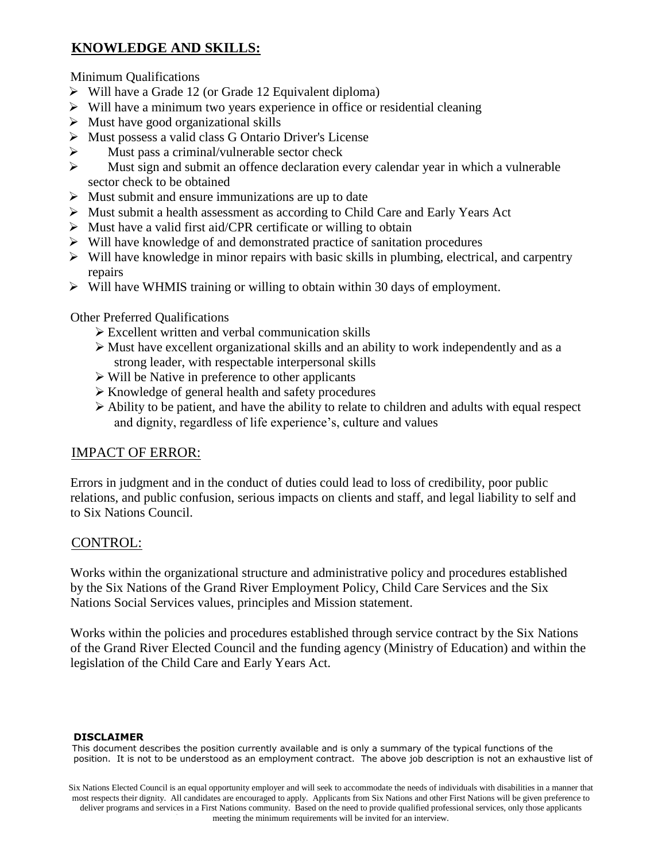# **KNOWLEDGE AND SKILLS:**

Minimum Qualifications

- $\triangleright$  Will have a Grade 12 (or Grade 12 Equivalent diploma)
- $\triangleright$  Will have a minimum two years experience in office or residential cleaning
- $\triangleright$  Must have good organizational skills
- Must possess a valid class G Ontario Driver's License
- $\triangleright$  Must pass a criminal/vulnerable sector check
- Must sign and submit an offence declaration every calendar year in which a vulnerable sector check to be obtained
- $\triangleright$  Must submit and ensure immunizations are up to date
- Must submit a health assessment as according to Child Care and Early Years Act
- $\triangleright$  Must have a valid first aid/CPR certificate or willing to obtain
- $\triangleright$  Will have knowledge of and demonstrated practice of sanitation procedures
- $\triangleright$  Will have knowledge in minor repairs with basic skills in plumbing, electrical, and carpentry repairs
- $\triangleright$  Will have WHMIS training or willing to obtain within 30 days of employment.

Other Preferred Qualifications

- Excellent written and verbal communication skills
- $\triangleright$  Must have excellent organizational skills and an ability to work independently and as a strong leader, with respectable interpersonal skills
- $\triangleright$  Will be Native in preference to other applicants
- $\triangleright$  Knowledge of general health and safety procedures
- $\triangleright$  Ability to be patient, and have the ability to relate to children and adults with equal respect and dignity, regardless of life experience's, culture and values

## IMPACT OF ERROR:

Errors in judgment and in the conduct of duties could lead to loss of credibility, poor public relations, and public confusion, serious impacts on clients and staff, and legal liability to self and to Six Nations Council.

## CONTROL:

Works within the organizational structure and administrative policy and procedures established by the Six Nations of the Grand River Employment Policy, Child Care Services and the Six Nations Social Services values, principles and Mission statement.

Works within the policies and procedures established through service contract by the Six Nations of the Grand River Elected Council and the funding agency (Ministry of Education) and within the legislation of the Child Care and Early Years Act.

#### **DISCLAIMER**

This document describes the position currently available and is only a summary of the typical functions of the position. It is not to be understood as an employment contract. The above job description is not an exhaustive list of